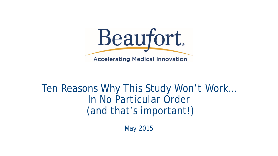

#### Ten Reasons Why This Study Won't Work… In No Particular Order (and that's important!)

May 2015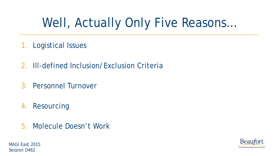# Well, Actually Only Five Reasons…

- 1. Logistical Issues
- 2. Ill-defined Inclusion/Exclusion Criteria
- 3. Personnel Turnover
- 4. Resourcing
- 5. Molecule Doesn't Work



MAGI East 2015 Session D462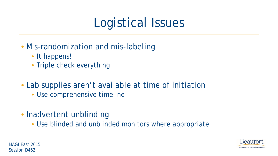# Logistical Issues

- Mis-randomization and mis-labeling
	- It happens!
	- Triple check everything
- Lab supplies aren't available at time of initiation
	- Use comprehensive timeline
- Inadvertent unblinding
	- Use blinded and unblinded monitors where appropriate



MAGI East 2015 Session D462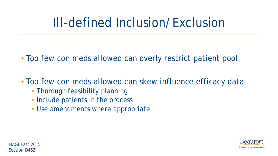# Ill-defined Inclusion/Exclusion

- Too few con meds allowed can overly restrict patient pool
- Too few con meds allowed can skew influence efficacy data
	- Thorough feasibility planning
	- Include patients in the process
	- Use amendments where appropriate

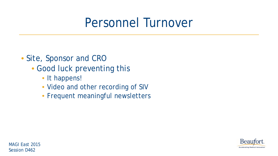### Personnel Turnover

- Site, Sponsor and CRO
	- Good luck preventing this
		- It happens!
		- Video and other recording of SIV
		- Frequent meaningful newsletters

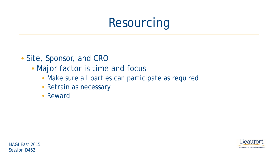# Resourcing

- Site, Sponsor, and CRO
	- Major factor is time and focus
		- Make sure all parties can participate as required
		- Retrain as necessary
		- Reward

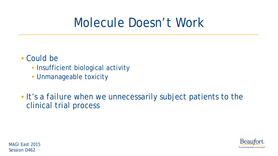## Molecule Doesn't Work

#### • Could be

- Insufficient biological activity
- Unmanageable toxicity
- It's a *failure* when we unnecessarily subject patients to the clinical trial process



MAGI East 2015 Session D462